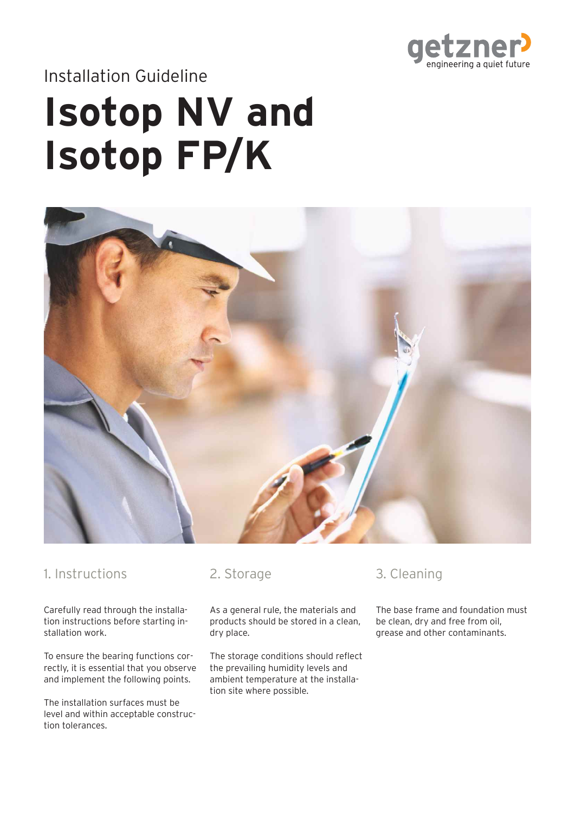

# Installation Guideline

# **Isotop NV and Isotop FP/K**



#### 1. Instructions

Carefully read through the installation instructions before starting installation work.

To ensure the bearing functions correctly, it is essential that you observe and implement the following points.

The installation surfaces must be level and within acceptable construction tolerances.

#### 2. Storage

As a general rule, the materials and products should be stored in a clean, dry place.

The storage conditions should reflect the prevailing humidity levels and ambient temperature at the installation site where possible.

#### 3. Cleaning

The base frame and foundation must be clean, dry and free from oil, grease and other contaminants.